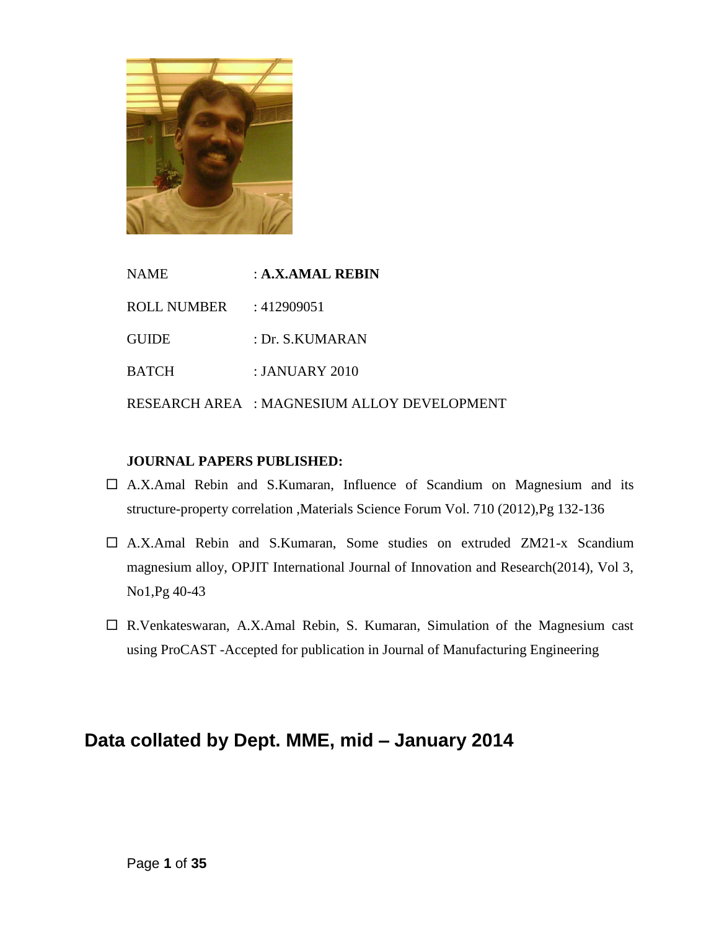

NAME : **A.X.AMAL REBIN** ROLL NUMBER : 412909051 GUIDE : Dr. S.KUMARAN BATCH : JANUARY 2010 RESEARCH AREA : MAGNESIUM ALLOY DEVELOPMENT

#### **JOURNAL PAPERS PUBLISHED:**

- $\Box$  A.X.Amal Rebin and S.Kumaran, Influence of Scandium on Magnesium and its structure-property correlation ,Materials Science Forum Vol. 710 (2012),Pg 132-136
- A.X.Amal Rebin and S.Kumaran, Some studies on extruded ZM21-x Scandium magnesium alloy, OPJIT International Journal of Innovation and Research(2014), Vol 3, No1,Pg 40-43
- R.Venkateswaran, A.X.Amal Rebin, S. Kumaran, Simulation of the Magnesium cast using ProCAST -Accepted for publication in Journal of Manufacturing Engineering

# **Data collated by Dept. MME, mid – January 2014**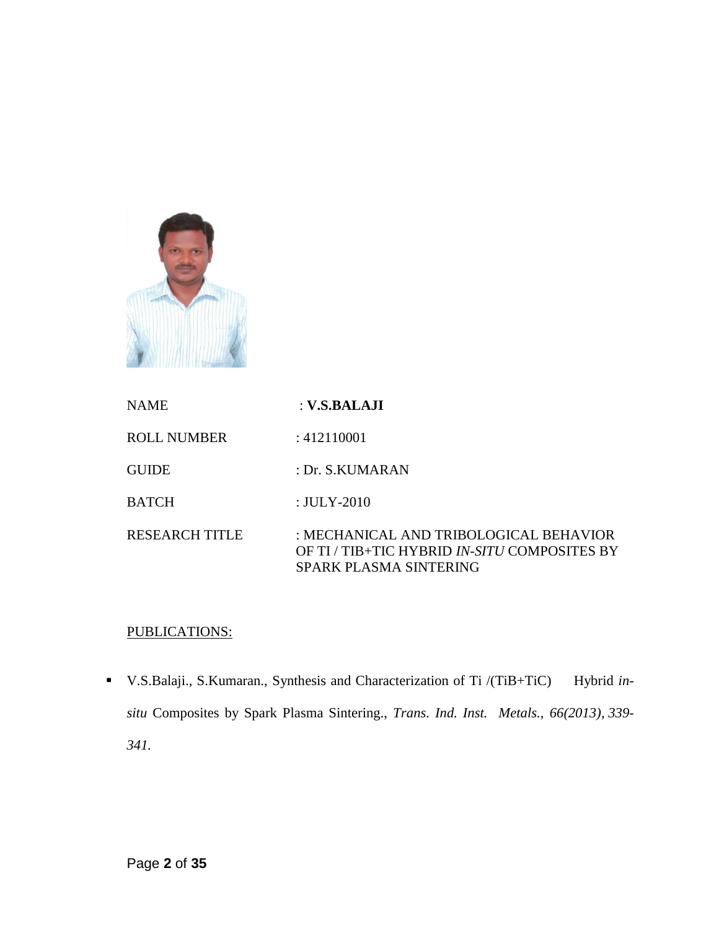

| <b>NAME</b>           | : V.S.BALAJI                                                                                                     |
|-----------------------|------------------------------------------------------------------------------------------------------------------|
| <b>ROLL NUMBER</b>    | : 412110001                                                                                                      |
| <b>GUIDE</b>          | : Dr. S.KUMARAN                                                                                                  |
| <b>BATCH</b>          | : $JULY-2010$                                                                                                    |
| <b>RESEARCH TITLE</b> | : MECHANICAL AND TRIBOLOGICAL BEHAVIOR<br>OF TI / TIB+TIC HYBRID IN-SITU COMPOSITES BY<br>SPARK PLASMA SINTERING |

### PUBLICATIONS:

 V.S.Balaji., S.Kumaran., Synthesis and Characterization of Ti /(TiB+TiC) Hybrid *insitu* Composites by Spark Plasma Sintering., *Trans. Ind. Inst. Metals., 66(2013), 339- 341.*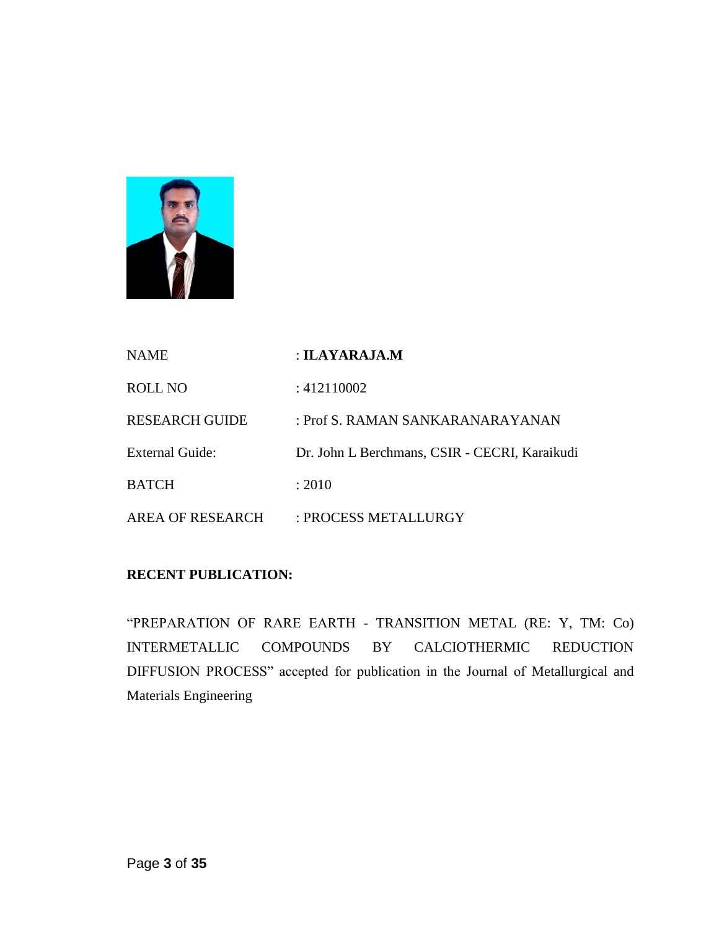

| <b>NAME</b>            | : ILAYARAJA.M                                 |
|------------------------|-----------------------------------------------|
| ROLL NO                | : 412110002                                   |
| <b>RESEARCH GUIDE</b>  | : Prof S. RAMAN SANKARANARAYANAN              |
| <b>External Guide:</b> | Dr. John L Berchmans, CSIR - CECRI, Karaikudi |
| <b>BATCH</b>           | : 2010                                        |
| AREA OF RESEARCH       | : PROCESS METALLURGY                          |

#### **RECENT PUBLICATION:**

"PREPARATION OF RARE EARTH - TRANSITION METAL (RE: Y, TM: Co) INTERMETALLIC COMPOUNDS BY CALCIOTHERMIC REDUCTION DIFFUSION PROCESS" accepted for publication in the Journal of Metallurgical and Materials Engineering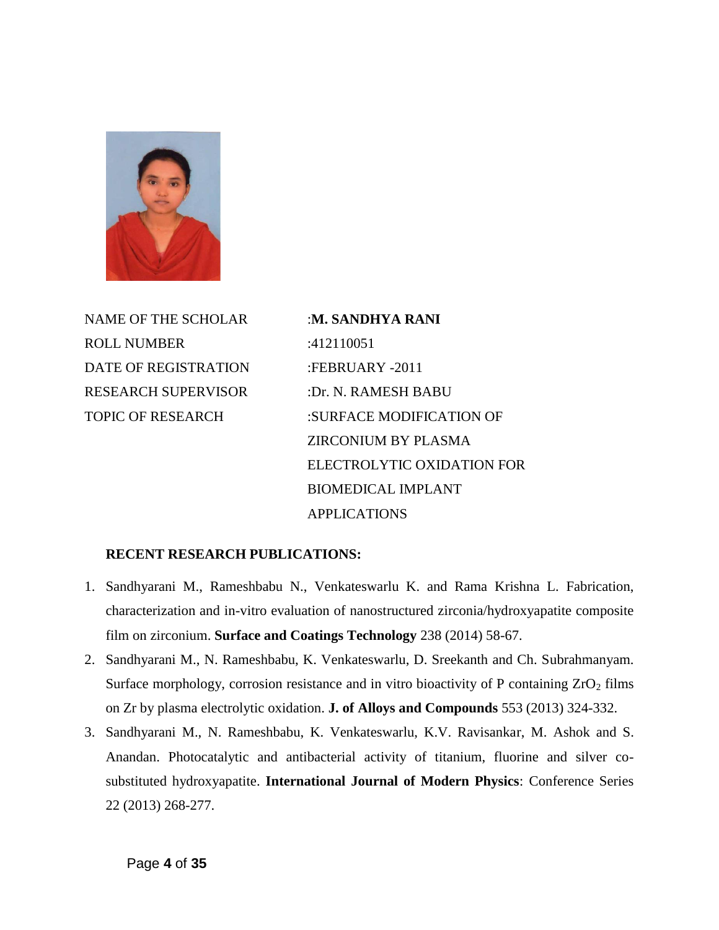

NAME OF THE SCHOLAR :**M. SANDHYA RANI** ROLL NUMBER :412110051 DATE OF REGISTRATION :FEBRUARY -2011 RESEARCH SUPERVISOR :Dr. N. RAMESH BABU

TOPIC OF RESEARCH :SURFACE MODIFICATION OF ZIRCONIUM BY PLASMA ELECTROLYTIC OXIDATION FOR BIOMEDICAL IMPLANT APPLICATIONS

#### **RECENT RESEARCH PUBLICATIONS:**

- 1. Sandhyarani M., Rameshbabu N., Venkateswarlu K. and Rama Krishna L. Fabrication, characterization and in-vitro evaluation of nanostructured zirconia/hydroxyapatite composite film on zirconium. **Surface and Coatings Technology** 238 (2014) 58-67.
- 2. Sandhyarani M., N. Rameshbabu, K. Venkateswarlu, D. Sreekanth and Ch. Subrahmanyam. Surface morphology, corrosion resistance and in vitro bioactivity of P containing  $ZrO<sub>2</sub>$  films on Zr by plasma electrolytic oxidation. **J. of Alloys and Compounds** 553 (2013) 324-332.
- 3. Sandhyarani M., N. Rameshbabu, K. Venkateswarlu, K.V. Ravisankar, M. Ashok and S. Anandan. Photocatalytic and antibacterial activity of titanium, fluorine and silver cosubstituted hydroxyapatite. **International Journal of Modern Physics**: Conference Series 22 (2013) 268-277.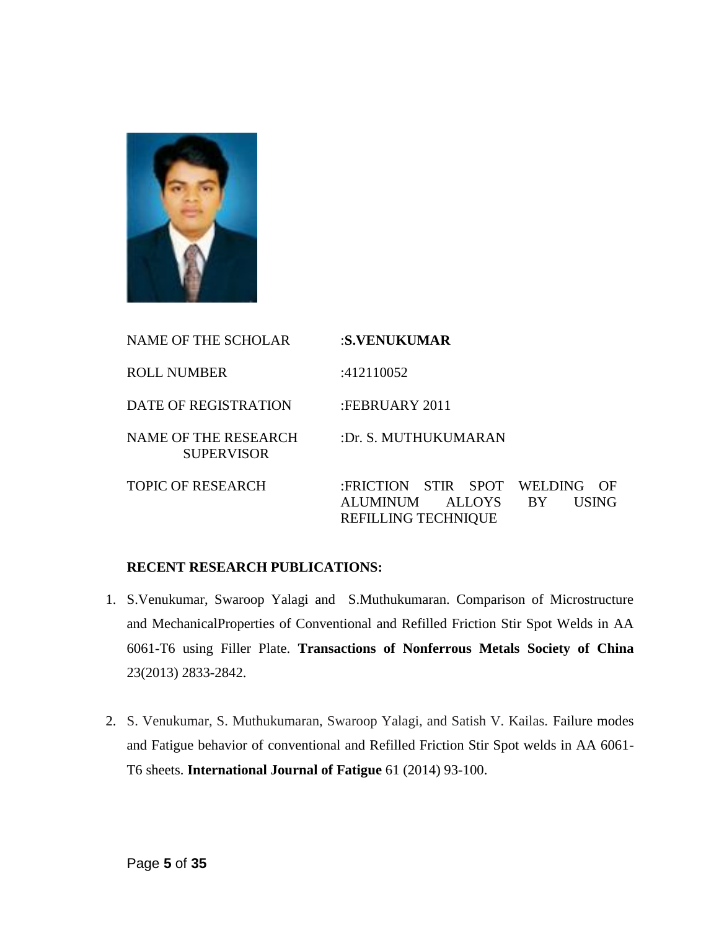

| <b>NAME OF THE SCHOLAR</b>                       | :S.VENUKUMAR                                                                                                                  |
|--------------------------------------------------|-------------------------------------------------------------------------------------------------------------------------------|
| <b>ROLL NUMBER</b>                               | :412110052                                                                                                                    |
| <b>DATE OF REGISTRATION</b>                      | :FEBRUARY 2011                                                                                                                |
| <b>NAME OF THE RESEARCH</b><br><b>SUPERVISOR</b> | :Dr. S. MUTHUKUMARAN                                                                                                          |
| TOPIC OF RESEARCH                                | :FRICTION STIR SPOT<br>WELDING<br>()F<br><b>USING</b><br><b>ALUMINUM</b><br>ALLOYS<br><b>BY</b><br><b>REFILLING TECHNIQUE</b> |

#### **RECENT RESEARCH PUBLICATIONS:**

- 1. S.Venukumar, Swaroop Yalagi and S.Muthukumaran. Comparison of Microstructure and MechanicalProperties of Conventional and Refilled Friction Stir Spot Welds in AA 6061-T6 using Filler Plate. **Transactions of Nonferrous Metals Society of China** 23(2013) 2833-2842.
- 2. S. Venukumar, S. Muthukumaran, Swaroop Yalagi, and Satish V. Kailas. Failure modes and Fatigue behavior of conventional and Refilled Friction Stir Spot welds in AA 6061- T6 sheets. **International Journal of Fatigue** 61 (2014) 93-100.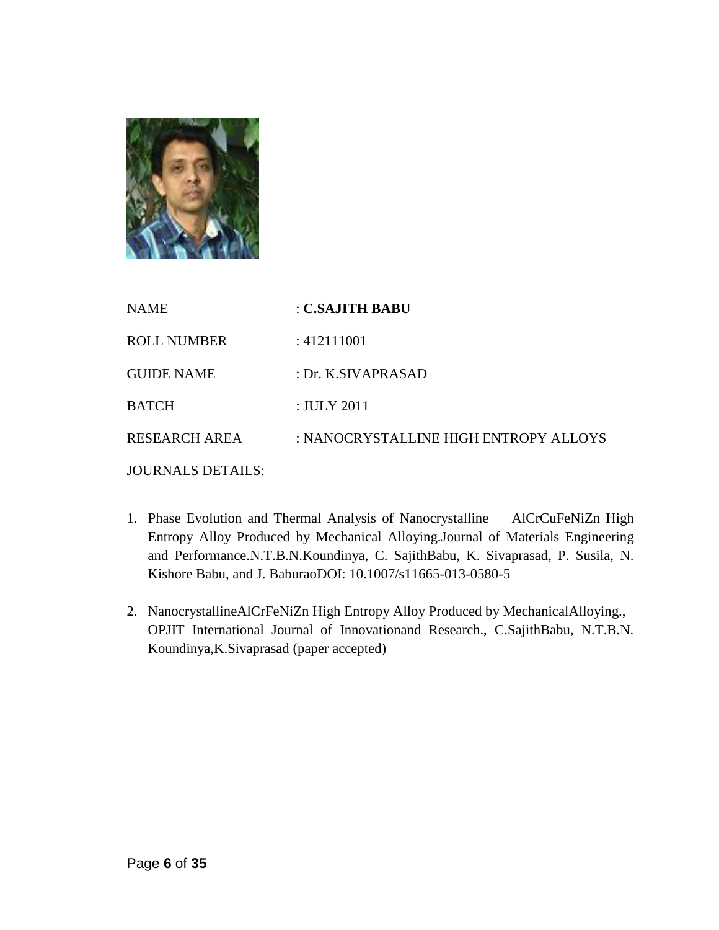

| <b>NAME</b>              | : C.SAJITH BABU                       |
|--------------------------|---------------------------------------|
| <b>ROLL NUMBER</b>       | : 412111001                           |
| <b>GUIDE NAME</b>        | : Dr. K.SIVAPRASAD                    |
| <b>BATCH</b>             | : JULY 2011                           |
| <b>RESEARCH AREA</b>     | : NANOCRYSTALLINE HIGH ENTROPY ALLOYS |
| <b>JOURNALS DETAILS:</b> |                                       |

- 1. Phase Evolution and Thermal Analysis of Nanocrystalline AlCrCuFeNiZn High Entropy Alloy Produced by Mechanical Alloying.Journal of Materials Engineering and Performance.N.T.B.N.Koundinya, C. SajithBabu, K. Sivaprasad, P. Susila, N. Kishore Babu, and J. BaburaoDOI: 10.1007/s11665-013-0580-5
- 2. NanocrystallineAlCrFeNiZn High Entropy Alloy Produced by MechanicalAlloying., OPJIT International Journal of Innovationand Research., C.SajithBabu, N.T.B.N. Koundinya,K.Sivaprasad (paper accepted)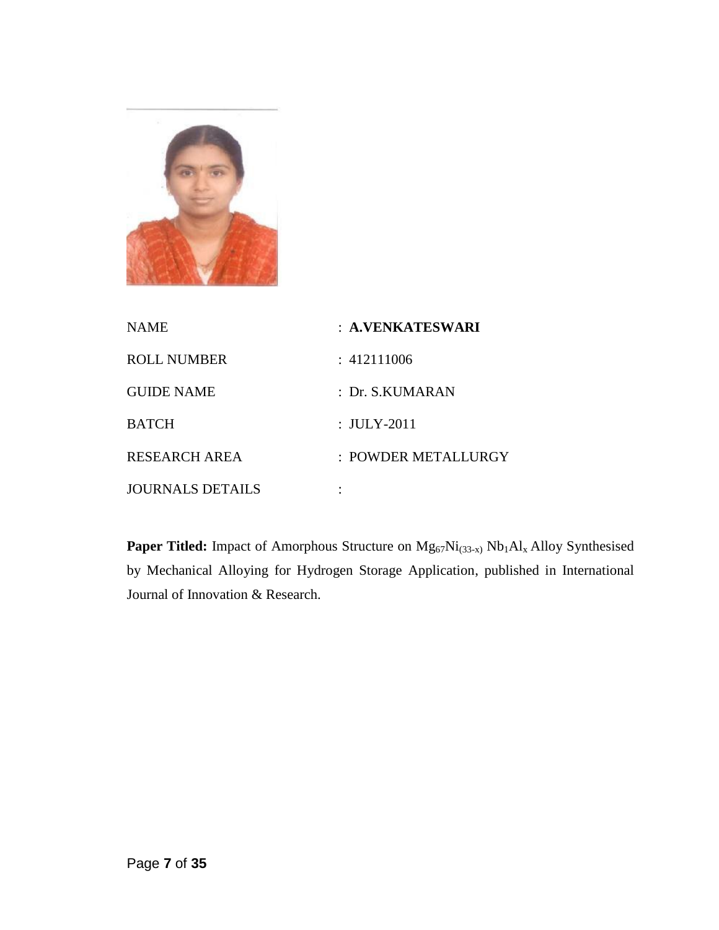

| <b>NAME</b>             | : A.VENKATESWARI    |
|-------------------------|---------------------|
| <b>ROLL NUMBER</b>      | : 412111006         |
| <b>GUIDE NAME</b>       | : Dr. S. KUMARAN    |
| <b>BATCH</b>            | : JULY-2011         |
| <b>RESEARCH AREA</b>    | : POWDER METALLURGY |
| <b>JOURNALS DETAILS</b> |                     |

Paper Titled: Impact of Amorphous Structure on  $Mg_{67}Ni_{(33-x)}Nb_1Al_x$  Alloy Synthesised by Mechanical Alloying for Hydrogen Storage Application, published in International Journal of Innovation & Research.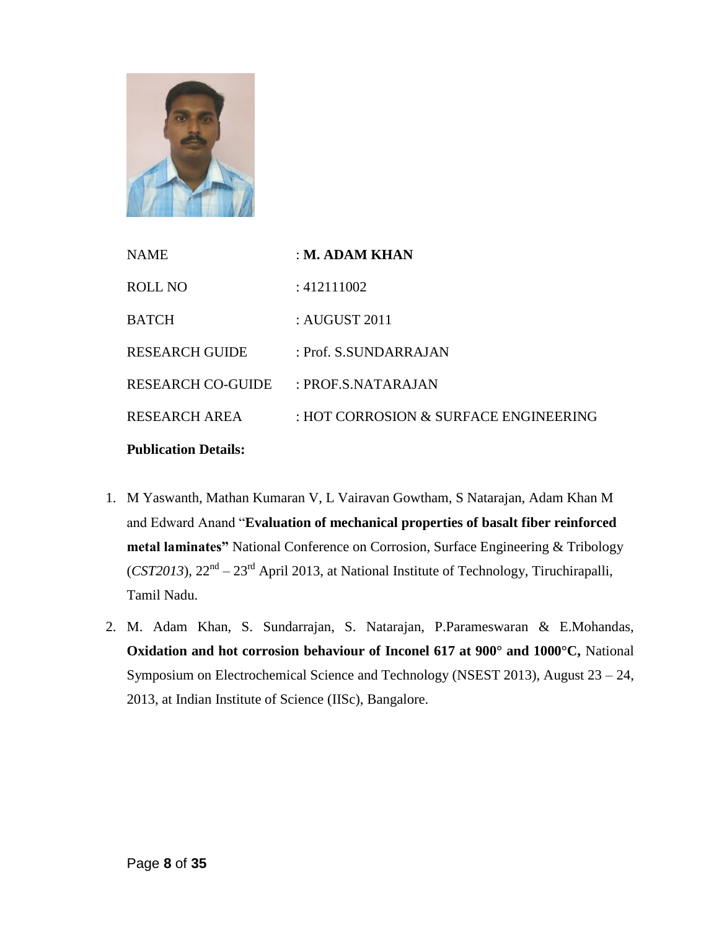

| <b>NAME</b>                 | : M. ADAM KHAN                        |
|-----------------------------|---------------------------------------|
| ROLL NO                     | : 412111002                           |
| <b>BATCH</b>                | : AUGUST $2011$                       |
| <b>RESEARCH GUIDE</b>       | : Prof. S.SUNDARRAJAN                 |
| <b>RESEARCH CO-GUIDE</b>    | $:$ PROF.S.NATARAJAN                  |
| RESEARCH AREA               | : HOT CORROSION & SURFACE ENGINEERING |
| <b>Publication Details:</b> |                                       |

- 1. M Yaswanth, Mathan Kumaran V, L Vairavan Gowtham, S Natarajan, Adam Khan M and Edward Anand "**Evaluation of mechanical properties of basalt fiber reinforced metal laminates"** National Conference on Corrosion, Surface Engineering & Tribology (*CST2013*),  $22<sup>nd</sup> - 23<sup>rd</sup>$  April 2013, at National Institute of Technology, Tiruchirapalli, Tamil Nadu.
- 2. M. Adam Khan, S. Sundarrajan, S. Natarajan, P.Parameswaran & E.Mohandas, **Oxidation and hot corrosion behaviour of Inconel 617 at 900° and 1000°C,** National Symposium on Electrochemical Science and Technology (NSEST 2013), August 23 – 24, 2013, at Indian Institute of Science (IISc), Bangalore.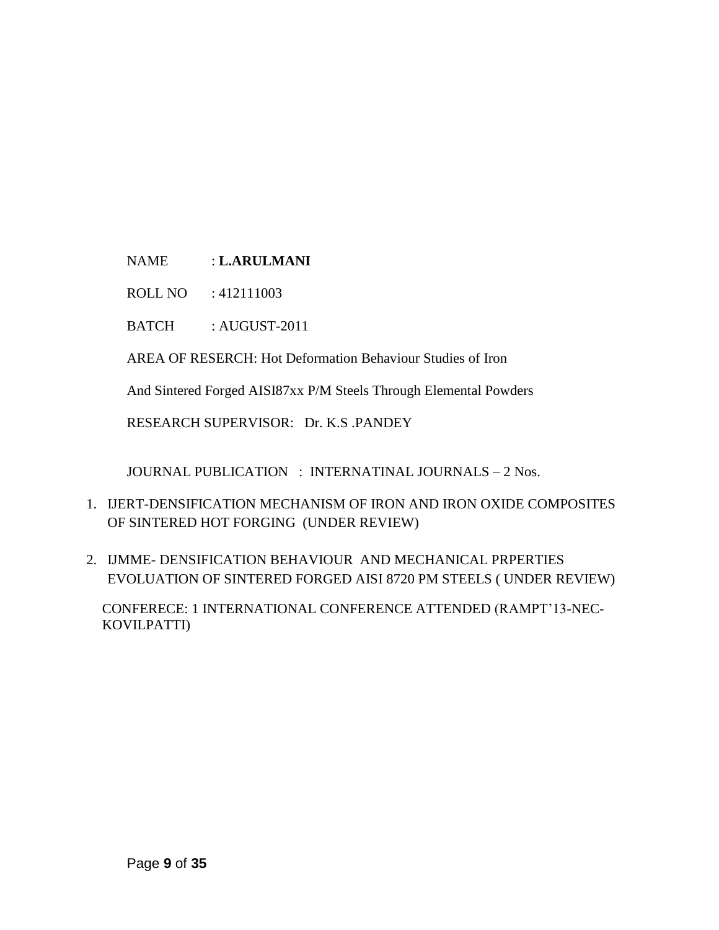NAME : **L.ARULMANI**

ROLL NO : 412111003

BATCH : AUGUST-2011

AREA OF RESERCH: Hot Deformation Behaviour Studies of Iron

And Sintered Forged AISI87xx P/M Steels Through Elemental Powders

RESEARCH SUPERVISOR: Dr. K.S .PANDEY

JOURNAL PUBLICATION : INTERNATINAL JOURNALS – 2 Nos.

- 1. IJERT-DENSIFICATION MECHANISM OF IRON AND IRON OXIDE COMPOSITES OF SINTERED HOT FORGING (UNDER REVIEW)
- 2. IJMME- DENSIFICATION BEHAVIOUR AND MECHANICAL PRPERTIES EVOLUATION OF SINTERED FORGED AISI 8720 PM STEELS ( UNDER REVIEW)

 CONFERECE: 1 INTERNATIONAL CONFERENCE ATTENDED (RAMPT"13-NEC- KOVILPATTI)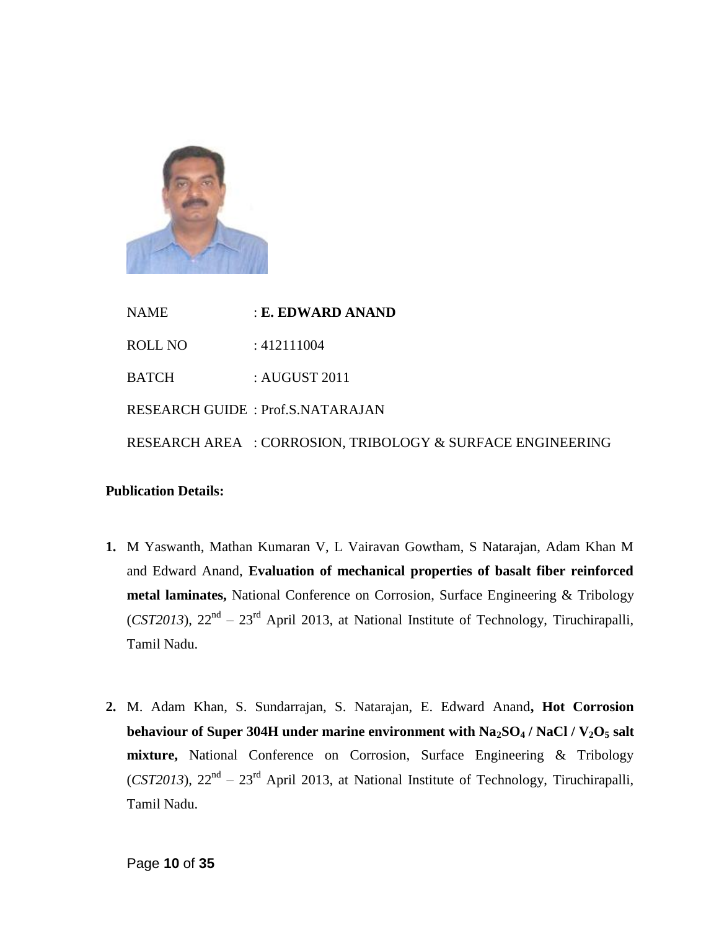

NAME : **E. EDWARD ANAND** ROLL NO : 412111004 BATCH : AUGUST 2011 RESEARCH GUIDE : Prof.S.NATARAJAN RESEARCH AREA : CORROSION, TRIBOLOGY & SURFACE ENGINEERING

#### **Publication Details:**

- **1.** M Yaswanth, Mathan Kumaran V, L Vairavan Gowtham, S Natarajan, Adam Khan M and Edward Anand, **Evaluation of mechanical properties of basalt fiber reinforced metal laminates,** National Conference on Corrosion, Surface Engineering & Tribology (*CST2013*),  $22<sup>nd</sup> - 23<sup>rd</sup>$  April 2013, at National Institute of Technology, Tiruchirapalli, Tamil Nadu.
- **2.** M. Adam Khan, S. Sundarrajan, S. Natarajan, E. Edward Anand**, Hot Corrosion behaviour of Super 304H under marine environment with Na2SO<sup>4</sup> / NaCl / V2O<sup>5</sup> salt mixture,** National Conference on Corrosion, Surface Engineering & Tribology  $(CST2013)$ ,  $22<sup>nd</sup> - 23<sup>rd</sup>$  April 2013, at National Institute of Technology, Tiruchirapalli, Tamil Nadu.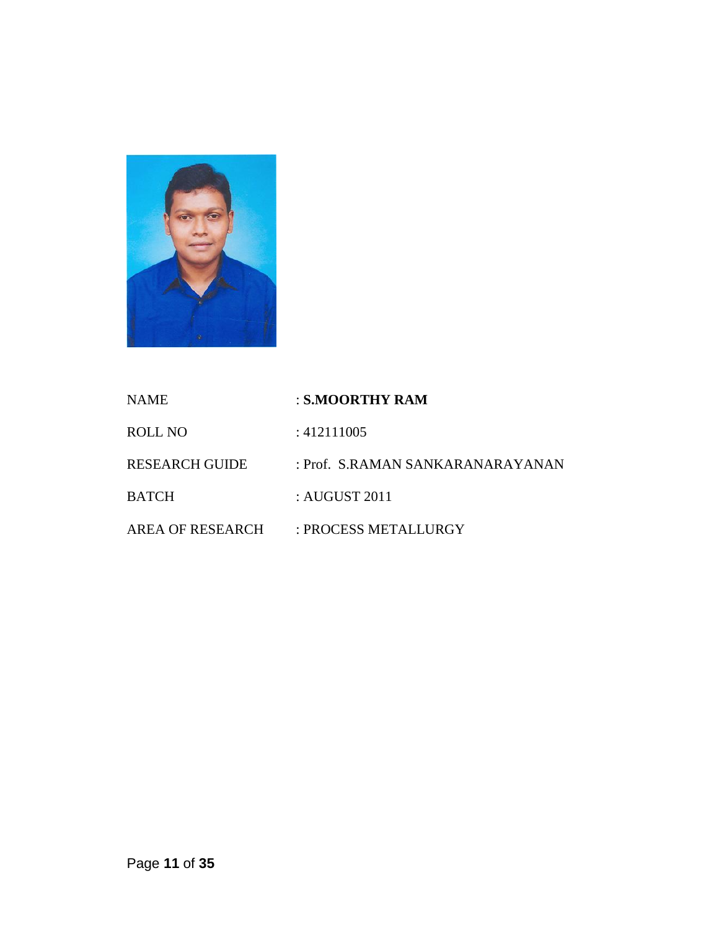

| <b>NAME</b>           | : S.MOORTHY RAM                  |
|-----------------------|----------------------------------|
| ROLL NO               | :412111005                       |
| <b>RESEARCH GUIDE</b> | : Prof. S.RAMAN SANKARANARAYANAN |
| <b>BATCH</b>          | : AUGUST 2011                    |
| AREA OF RESEARCH      | : PROCESS METALLURGY             |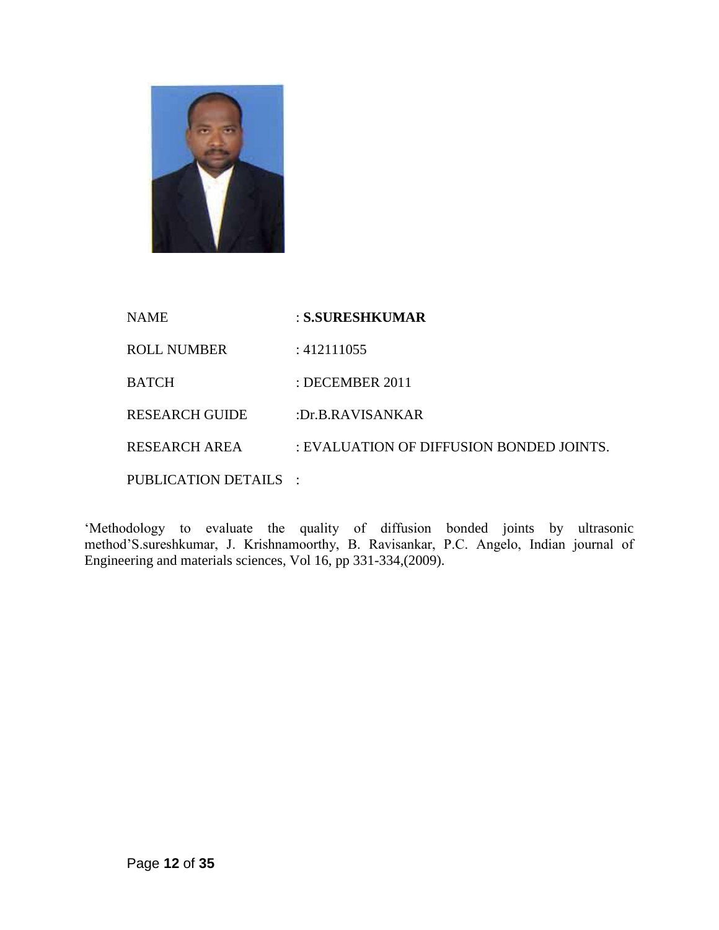

| NAME                  | : S.SURESHKUMAR                          |
|-----------------------|------------------------------------------|
| ROLL NUMBER           | :412111055                               |
| BATCH                 | : DECEMBER $2011$                        |
| RESEARCH GUIDE        | :Dr.B.RAVISANKAR                         |
| RESEARCH AREA         | : EVALUATION OF DIFFUSION BONDED JOINTS. |
| PUBLICATION DETAILS : |                                          |

"Methodology to evaluate the quality of diffusion bonded joints by ultrasonic method'S.sureshkumar, J. Krishnamoorthy, B. Ravisankar, P.C. Angelo, Indian journal of Engineering and materials sciences, Vol 16, pp 331-334,(2009).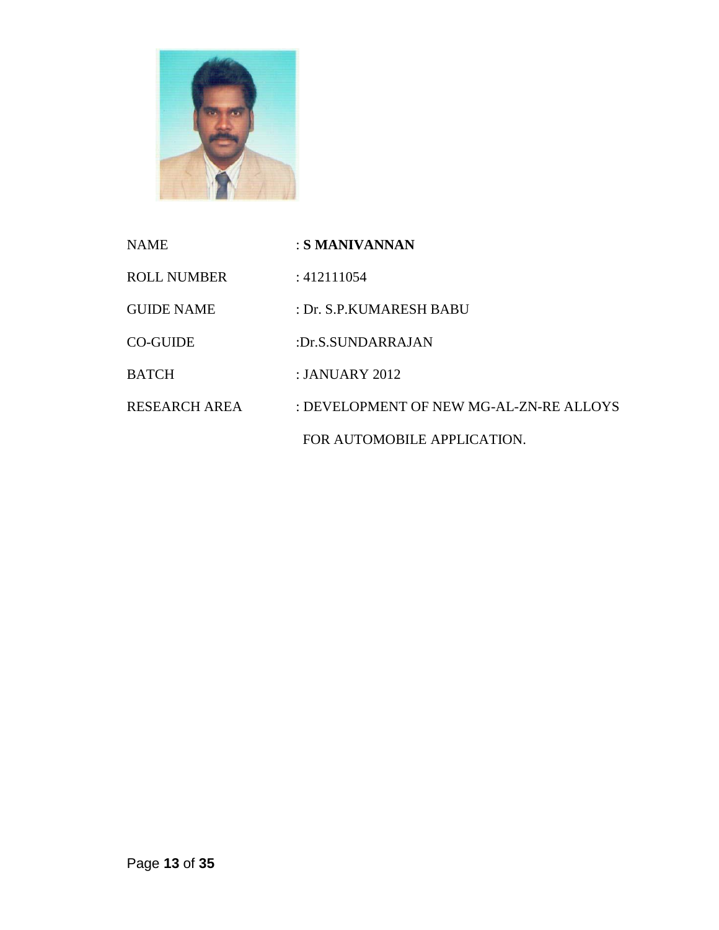

| <b>NAME</b>        | : S MANIVANNAN                          |
|--------------------|-----------------------------------------|
| <b>ROLL NUMBER</b> | : 412111054                             |
| <b>GUIDE NAME</b>  | : Dr. S.P.KUMARESH BABU                 |
| <b>CO-GUIDE</b>    | :Dr.S.SUNDARRAJAN                       |
| <b>BATCH</b>       | : JANUARY 2012                          |
| RESEARCH AREA      | : DEVELOPMENT OF NEW MG-AL-ZN-RE ALLOYS |
|                    | FOR AUTOMOBILE APPLICATION.             |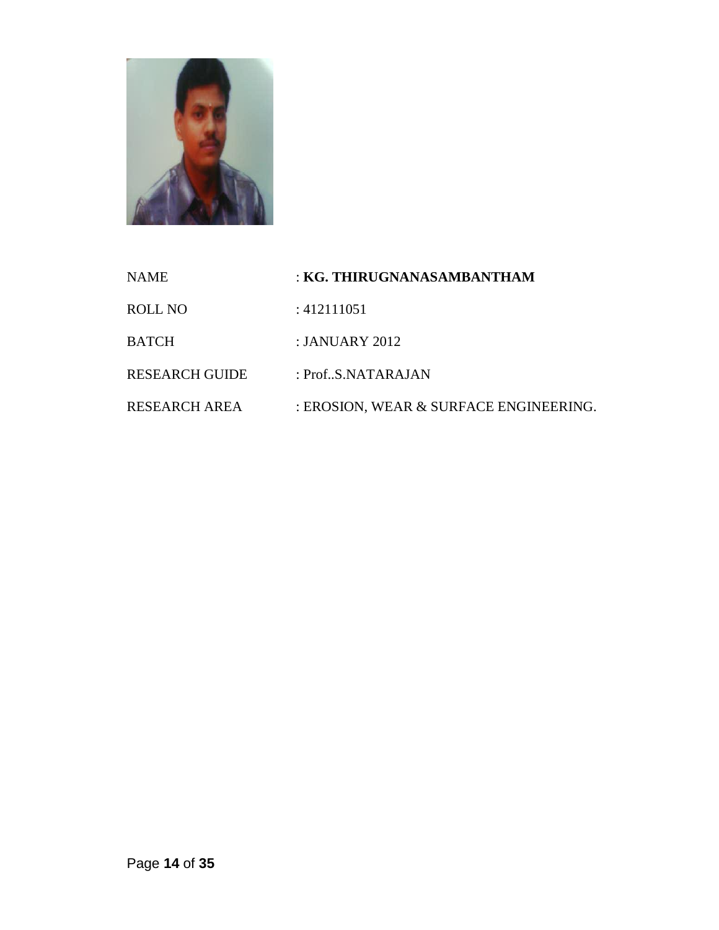

| <b>NAME</b>           | : KG. THIRUGNANASAMBANTHAM             |
|-----------------------|----------------------------------------|
| ROLL NO               | : 412111051                            |
| <b>BATCH</b>          | : JANUARY 2012                         |
| <b>RESEARCH GUIDE</b> | : $Prof., S.NATARAJAN$                 |
| RESEARCH AREA         | : EROSION, WEAR & SURFACE ENGINEERING. |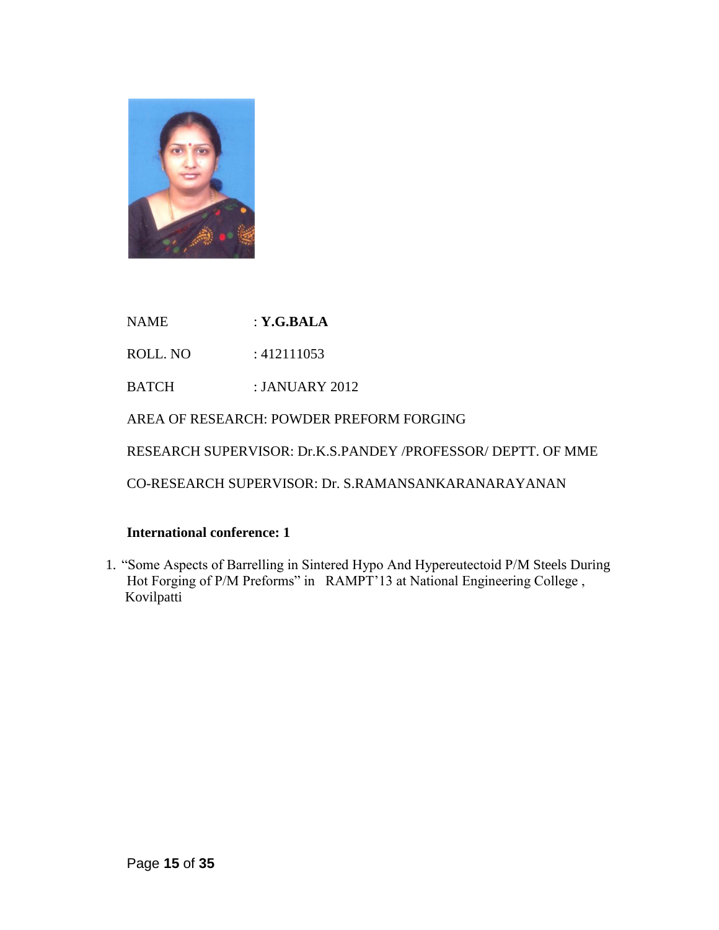

NAME : **Y.G.BALA** 

ROLL. NO : 412111053

BATCH : JANUARY 2012

AREA OF RESEARCH: POWDER PREFORM FORGING

RESEARCH SUPERVISOR: Dr.K.S.PANDEY /PROFESSOR/ DEPTT. OF MME

CO-RESEARCH SUPERVISOR: Dr. S.RAMANSANKARANARAYANAN

#### **International conference: 1**

1. "Some Aspects of Barrelling in Sintered Hypo And Hypereutectoid P/M Steels During Hot Forging of P/M Preforms" in RAMPT'13 at National Engineering College, Kovilpatti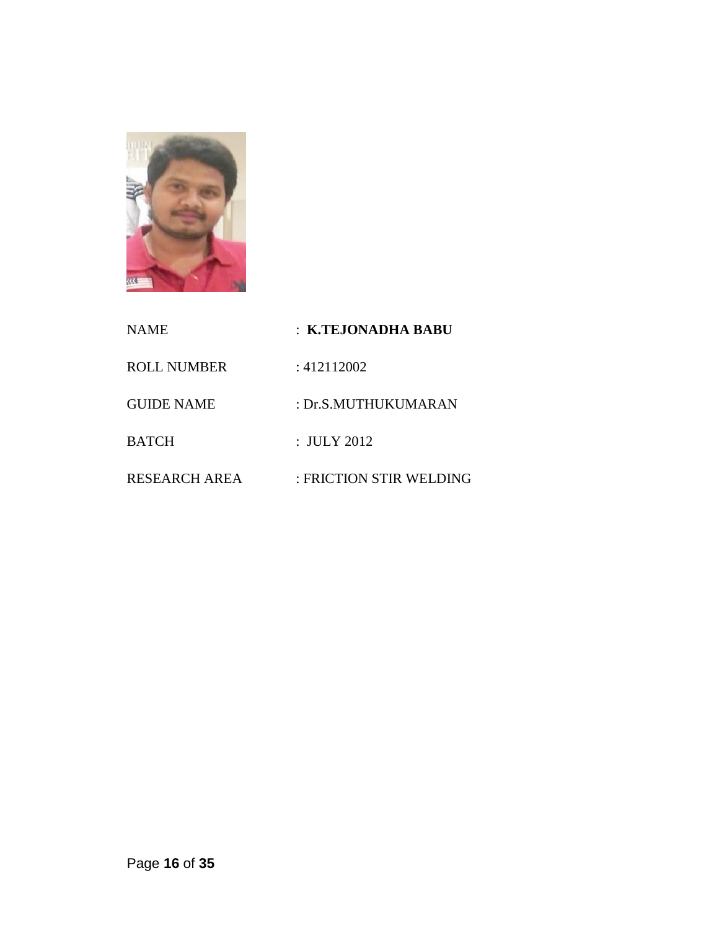

| <b>NAME</b>          | : K.TEJONADHA BABU      |
|----------------------|-------------------------|
| <b>ROLL NUMBER</b>   | : 412112002             |
| <b>GUIDE NAME</b>    | : Dr.S.MUTHUKUMARAN     |
| <b>BATCH</b>         | : JULY 2012             |
| <b>RESEARCH AREA</b> | : FRICTION STIR WELDING |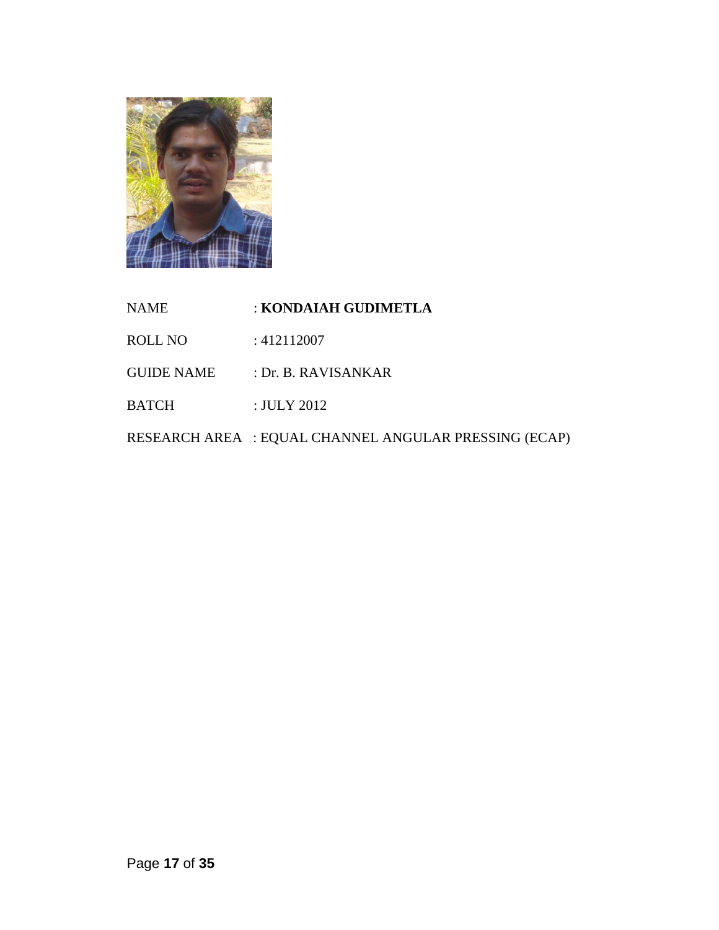

| <b>NAME</b>       | : KONDAIAH GUDIMETLA                                  |
|-------------------|-------------------------------------------------------|
| <b>ROLL NO</b>    | : 412112007                                           |
| <b>GUIDE NAME</b> | : Dr. B. RAVISANKAR                                   |
| <b>BATCH</b>      | $:$ JULY 2012                                         |
|                   | RESEARCH AREA : EQUAL CHANNEL ANGULAR PRESSING (ECAP) |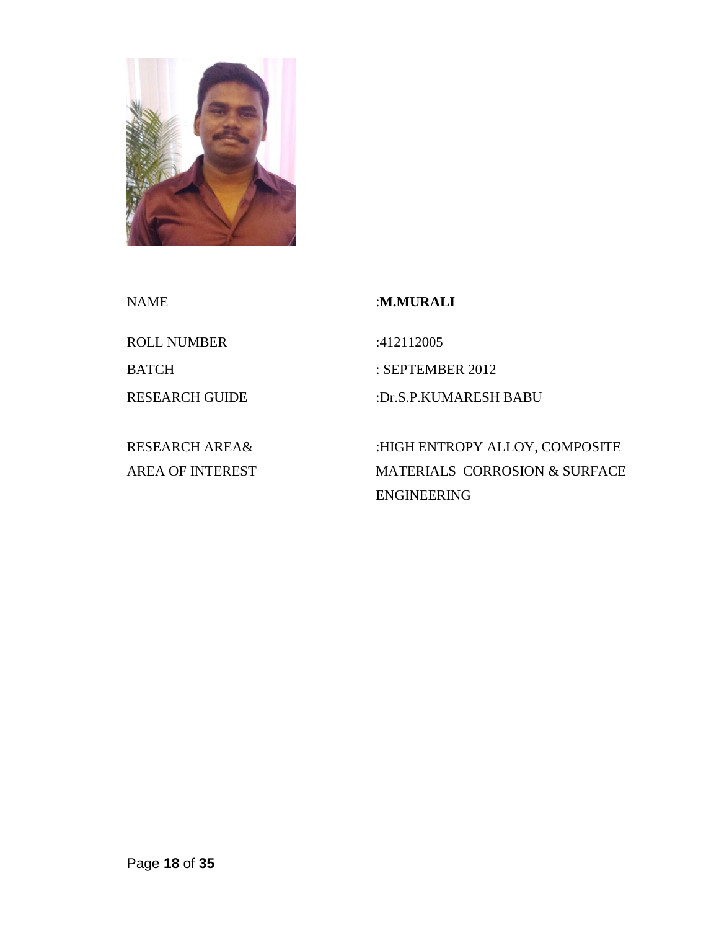

ROLL NUMBER :412112005

RESEARCH AREA& AREA OF INTEREST

NAME :**M.MURALI**

BATCH : SEPTEMBER 2012

RESEARCH GUIDE :Dr.S.P.KUMARESH BABU

:HIGH ENTROPY ALLOY, COMPOSITE MATERIALS CORROSION & SURFACE ENGINEERING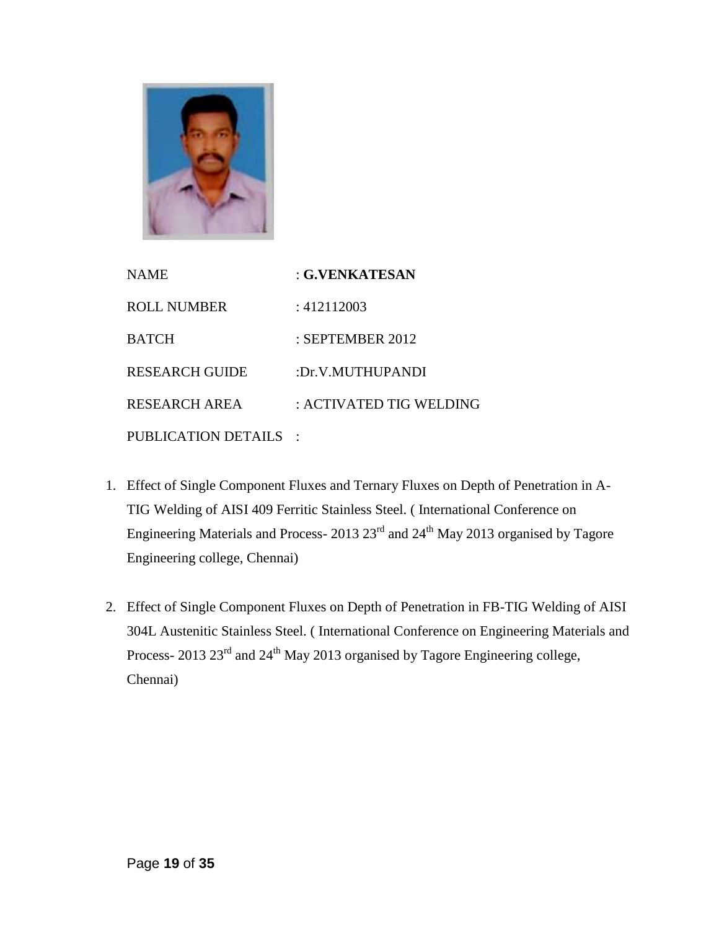

| <b>NAME</b>           | : G.VENKATESAN          |
|-----------------------|-------------------------|
| <b>ROLL NUMBER</b>    | : 412112003             |
| <b>BATCH</b>          | : SEPTEMBER 2012        |
| <b>RESEARCH GUIDE</b> | :Dr.V.MUTHUPANDI        |
| RESEARCH AREA         | : ACTIVATED TIG WELDING |
| PUBLICATION DETAILS   |                         |

- 1. Effect of Single Component Fluxes and Ternary Fluxes on Depth of Penetration in A-TIG Welding of AISI 409 Ferritic Stainless Steel. ( International Conference on Engineering Materials and Process- 2013 23rd and 24th May 2013 organised by Tagore Engineering college, Chennai)
- 2. Effect of Single Component Fluxes on Depth of Penetration in FB-TIG Welding of AISI 304L Austenitic Stainless Steel. ( International Conference on Engineering Materials and Process- 2013 23<sup>rd</sup> and 24<sup>th</sup> May 2013 organised by Tagore Engineering college, Chennai)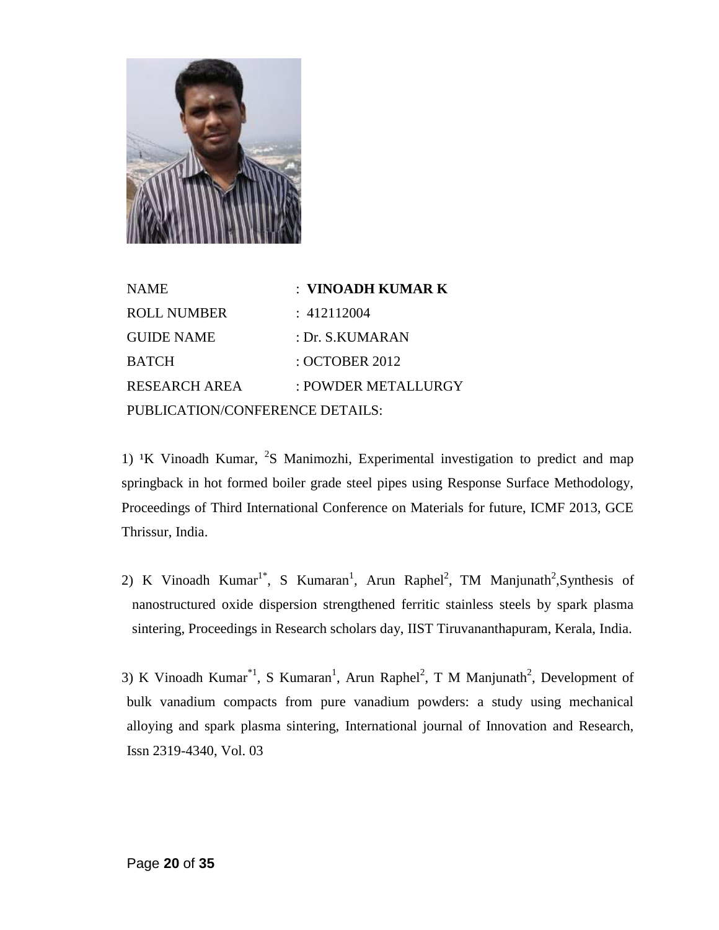

| <b>NAME</b>                     | : VINOADH KUMAR K   |
|---------------------------------|---------------------|
| <b>ROLL NUMBER</b>              | : 412112004         |
| <b>GUIDE NAME</b>               | : Dr. S.KUMARAN     |
| <b>BATCH</b>                    | : OCTOBER 2012      |
| <b>RESEARCH AREA</b>            | : POWDER METALLURGY |
| PUBLICATION/CONFERENCE DETAILS: |                     |

1) <sup>1</sup>K Vinoadh Kumar, <sup>2</sup>S Manimozhi, Experimental investigation to predict and map springback in hot formed boiler grade steel pipes using Response Surface Methodology, Proceedings of Third International Conference on Materials for future, ICMF 2013, GCE Thrissur, India.

2) K Vinoadh Kumar<sup>1\*</sup>, S Kumaran<sup>1</sup>, Arun Raphel<sup>2</sup>, TM Manjunath<sup>2</sup>, Synthesis of nanostructured oxide dispersion strengthened ferritic stainless steels by spark plasma sintering, Proceedings in Research scholars day, IIST Tiruvananthapuram, Kerala, India.

3) K Vinoadh Kumar<sup>\*1</sup>, S Kumaran<sup>1</sup>, Arun Raphel<sup>2</sup>, T M Manjunath<sup>2</sup>, Development of bulk vanadium compacts from pure vanadium powders: a study using mechanical alloying and spark plasma sintering, International journal of Innovation and Research, Issn 2319-4340, Vol. 03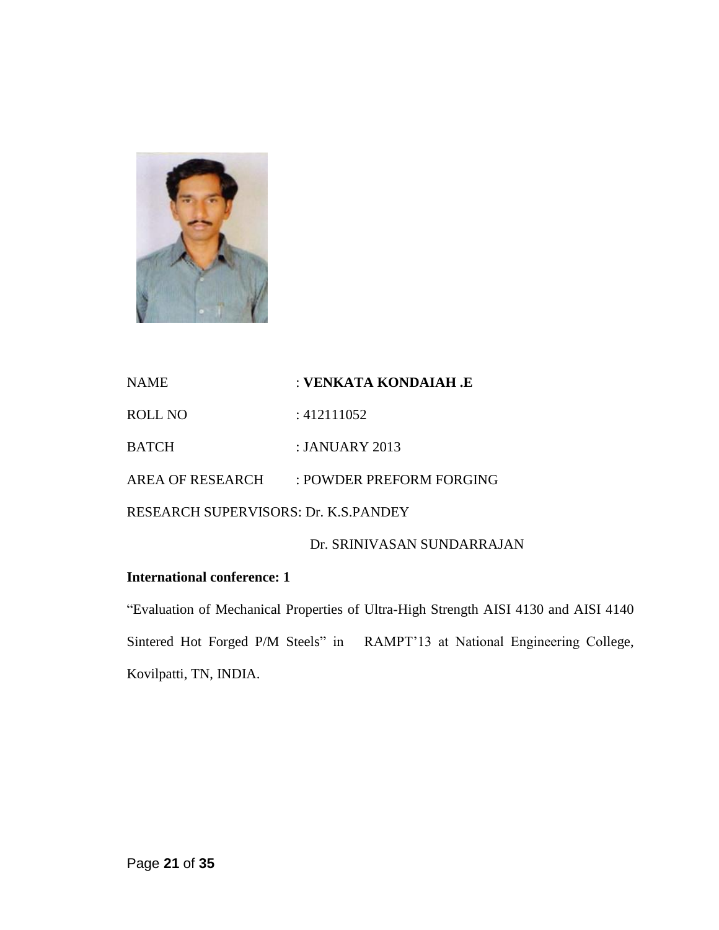

| <b>NAME</b>                                 | : VENKATA KONDAIAH .E    |  |
|---------------------------------------------|--------------------------|--|
| ROLL NO                                     | : 412111052              |  |
| <b>BATCH</b>                                | $\pm$ JANUARY 2013       |  |
| AREA OF RESEARCH                            | : POWDER PREFORM FORGING |  |
| <b>RESEARCH SUPERVISORS: Dr. K.S.PANDEY</b> |                          |  |
|                                             |                          |  |

Dr. SRINIVASAN SUNDARRAJAN

## **International conference: 1**

"Evaluation of Mechanical Properties of Ultra-High Strength AISI 4130 and AISI 4140 Sintered Hot Forged P/M Steels" in RAMPT"13 at National Engineering College, Kovilpatti, TN, INDIA.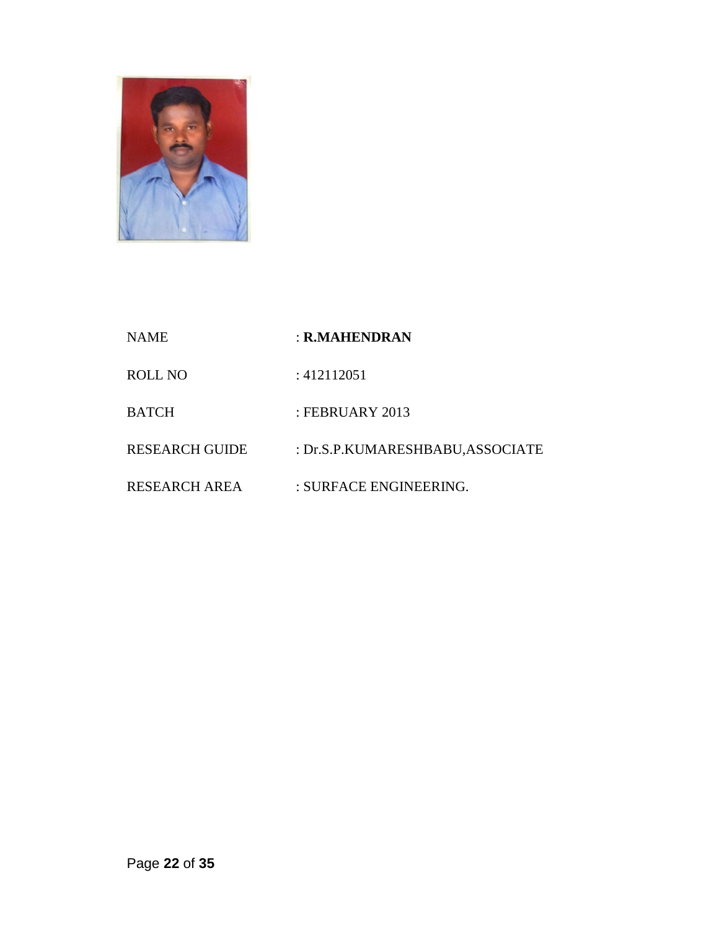

- NAME : **R.MAHENDRAN**
- ROLL NO : 412112051
- BATCH : FEBRUARY 2013
- RESEARCH GUIDE : Dr.S.P.KUMARESHBABU,ASSOCIATE
- RESEARCH AREA : SURFACE ENGINEERING.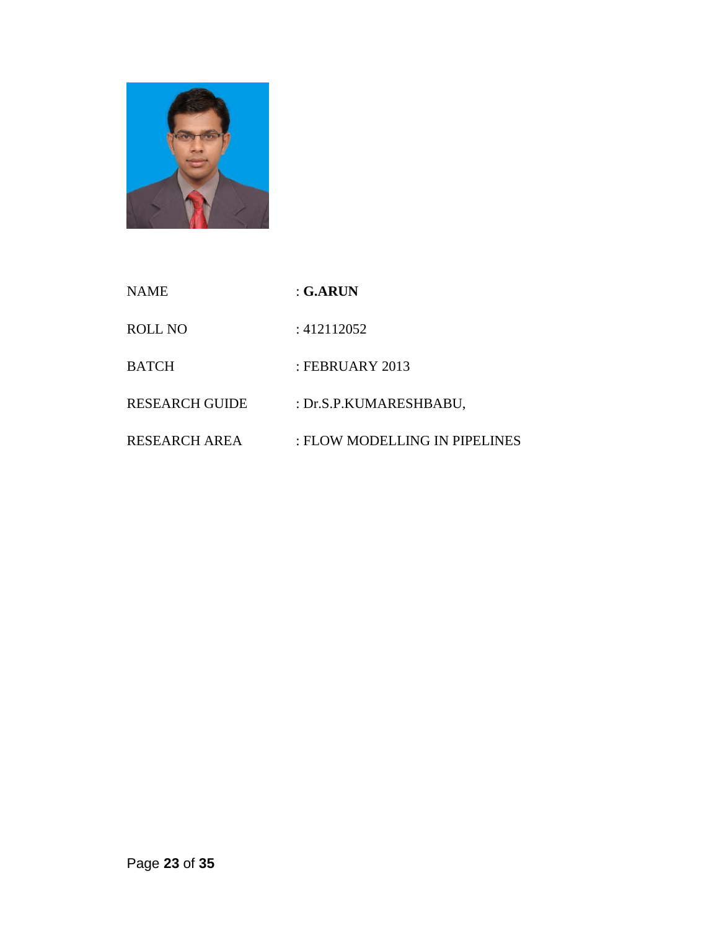

| <b>NAME</b>           | : G.ARUN                      |
|-----------------------|-------------------------------|
| ROLL NO               | : 412112052                   |
| <b>BATCH</b>          | : FEBRUARY 2013               |
| <b>RESEARCH GUIDE</b> | : Dr.S.P.KUMARESHBABU,        |
| <b>RESEARCH AREA</b>  | : FLOW MODELLING IN PIPELINES |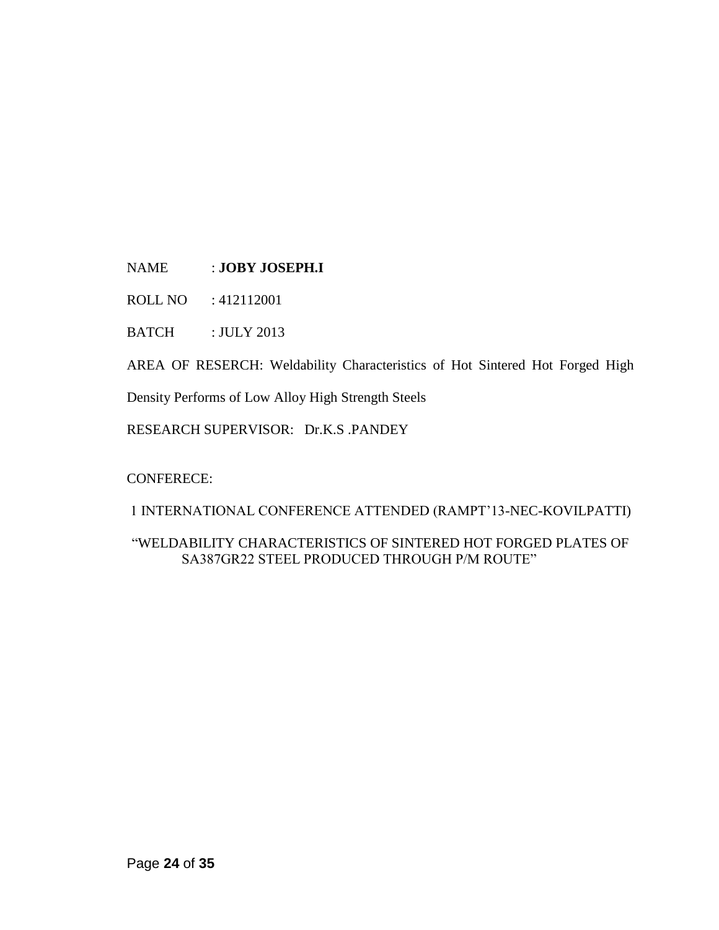NAME : **JOBY JOSEPH.I**

ROLL NO : 412112001

BATCH : JULY 2013

AREA OF RESERCH: Weldability Characteristics of Hot Sintered Hot Forged High

Density Performs of Low Alloy High Strength Steels

RESEARCH SUPERVISOR: Dr.K.S .PANDEY

#### CONFERECE:

1 INTERNATIONAL CONFERENCE ATTENDED (RAMPT"13-NEC-KOVILPATTI)

### "WELDABILITY CHARACTERISTICS OF SINTERED HOT FORGED PLATES OF SA387GR22 STEEL PRODUCED THROUGH P/M ROUTE"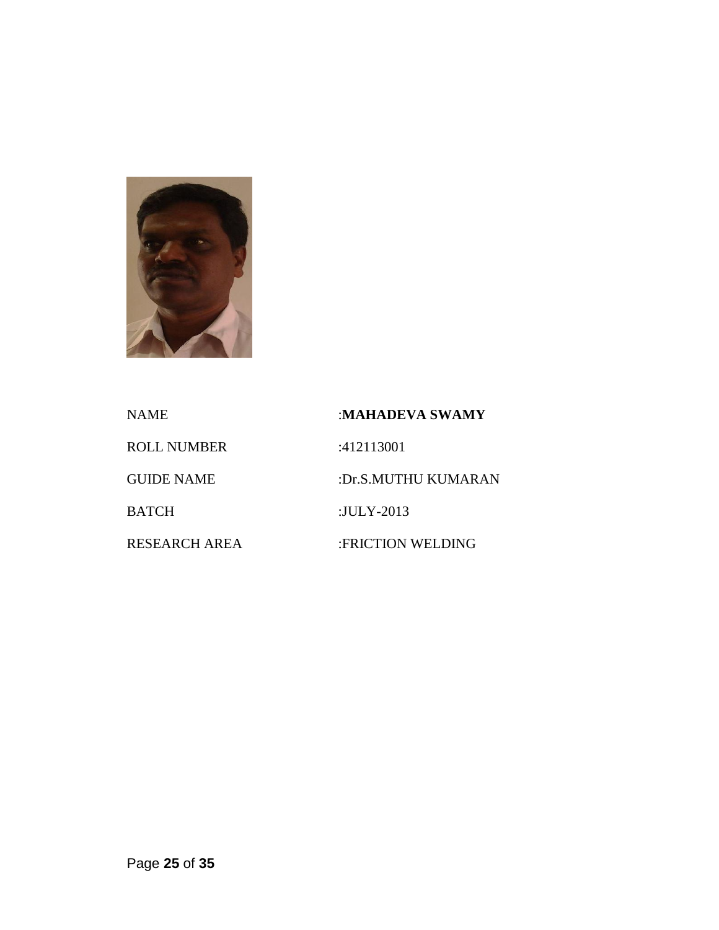

NAME :**MAHADEVA SWAMY** ROLL NUMBER :412113001 GUIDE NAME :Dr.S.MUTHU KUMARAN BATCH :JULY-2013 RESEARCH AREA :FRICTION WELDING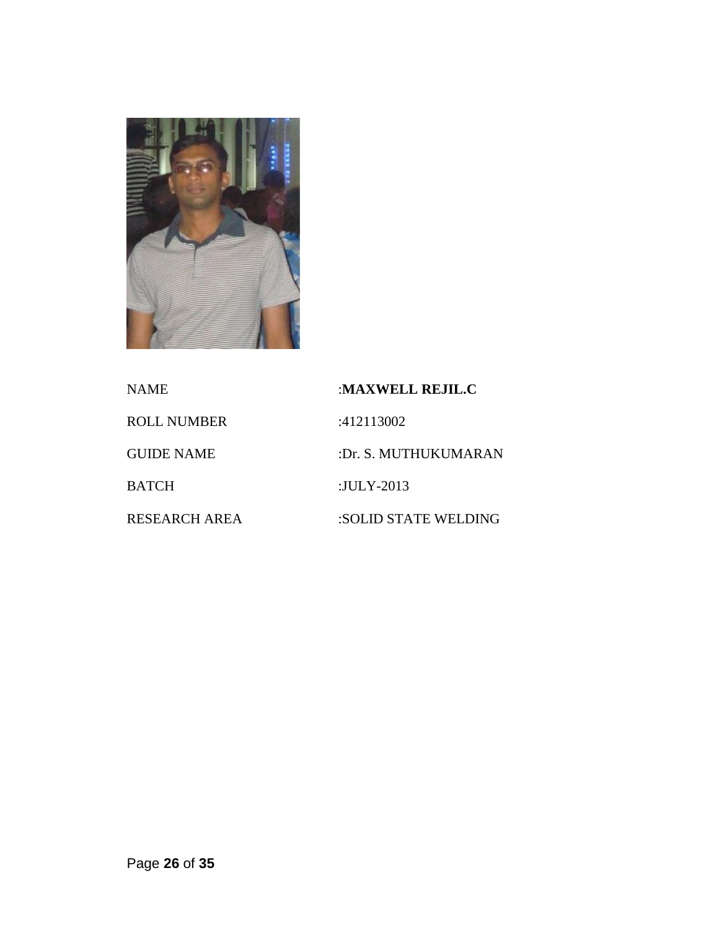

| NAME              | :MAXWELL REJIL.C     |
|-------------------|----------------------|
| ROLL NUMBER       | :412113002           |
| <b>GUIDE NAME</b> | :Dr. S. MUTHUKUMARAN |
| BATCH             | :JULY-2013           |
| RESEARCH AREA     | :SOLID STATE WELDING |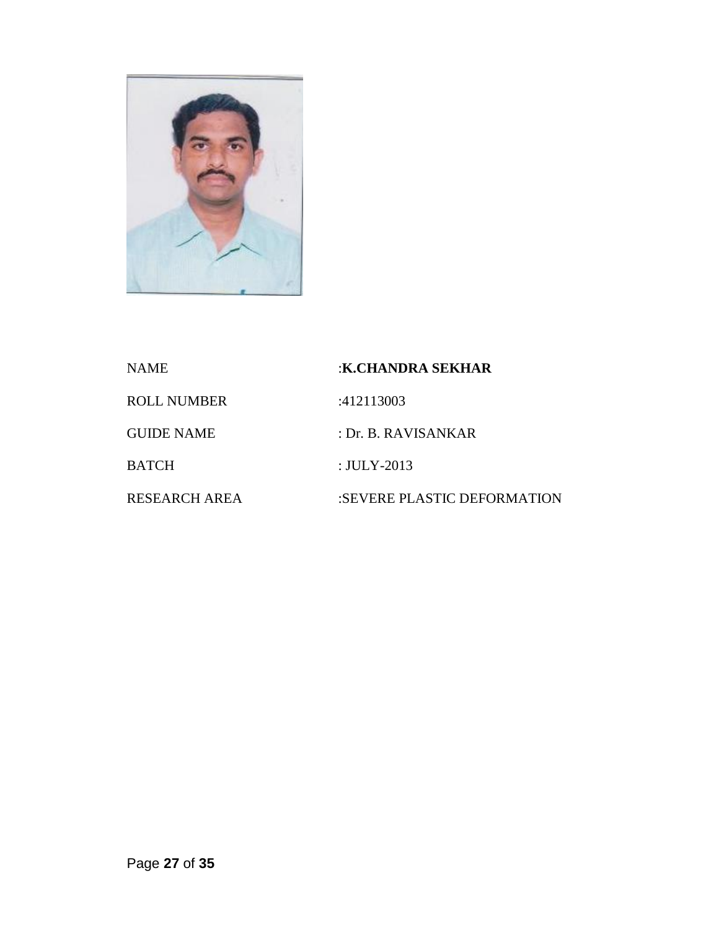

| <b>NAME</b>          | :K.CHANDRA SEKHAR           |
|----------------------|-----------------------------|
| <b>ROLL NUMBER</b>   | :412113003                  |
| <b>GUIDE NAME</b>    | : Dr. B. RAVISANKAR         |
| BATCH                | : $JULY-2013$               |
| <b>RESEARCH AREA</b> | :SEVERE PLASTIC DEFORMATION |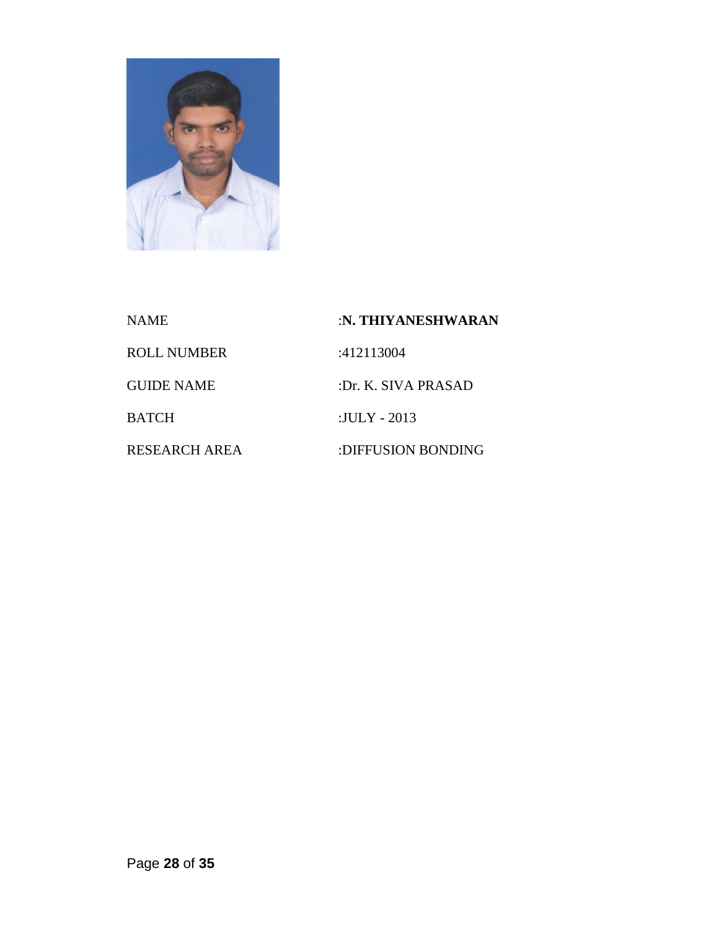

| NAME               | :N. THIYANESHWARAN  |
|--------------------|---------------------|
| <b>ROLL NUMBER</b> | :412113004          |
| <b>GUIDE NAME</b>  | :Dr. K. SIVA PRASAD |
| <b>BATCH</b>       | :JULY - $2013$      |
| RESEARCH AREA      | :DIFFUSION BONDING  |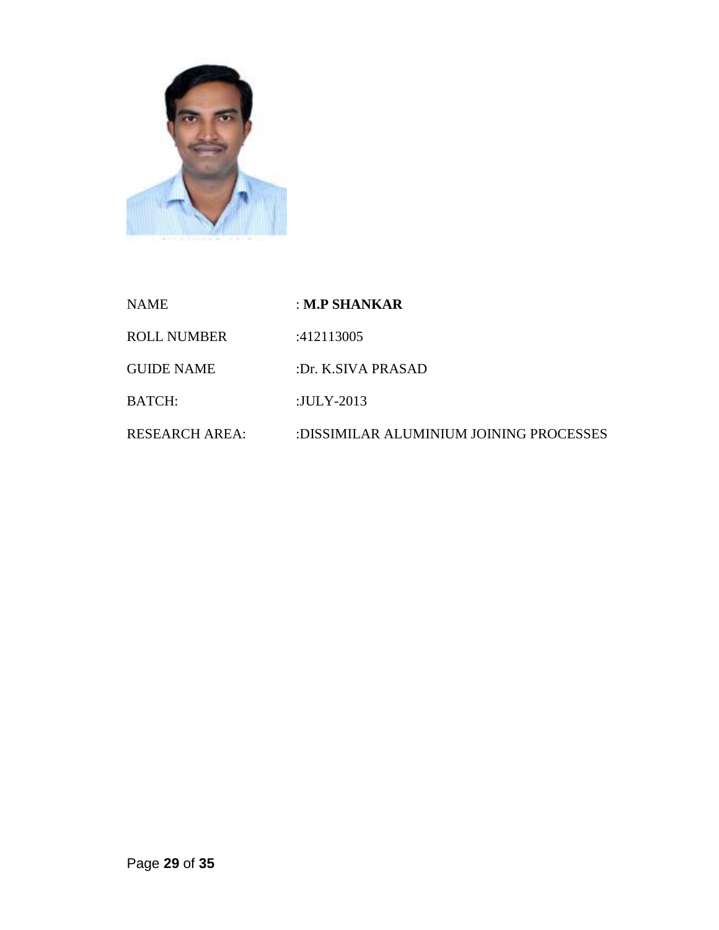

| <b>NAME</b>           | : M.P SHANKAR                           |
|-----------------------|-----------------------------------------|
| <b>ROLL NUMBER</b>    | :412113005                              |
| <b>GUIDE NAME</b>     | :Dr. K.SIVA PRASAD                      |
| <b>BATCH:</b>         | :JULY-2013                              |
| <b>RESEARCH AREA:</b> | :DISSIMILAR ALUMINIUM JOINING PROCESSES |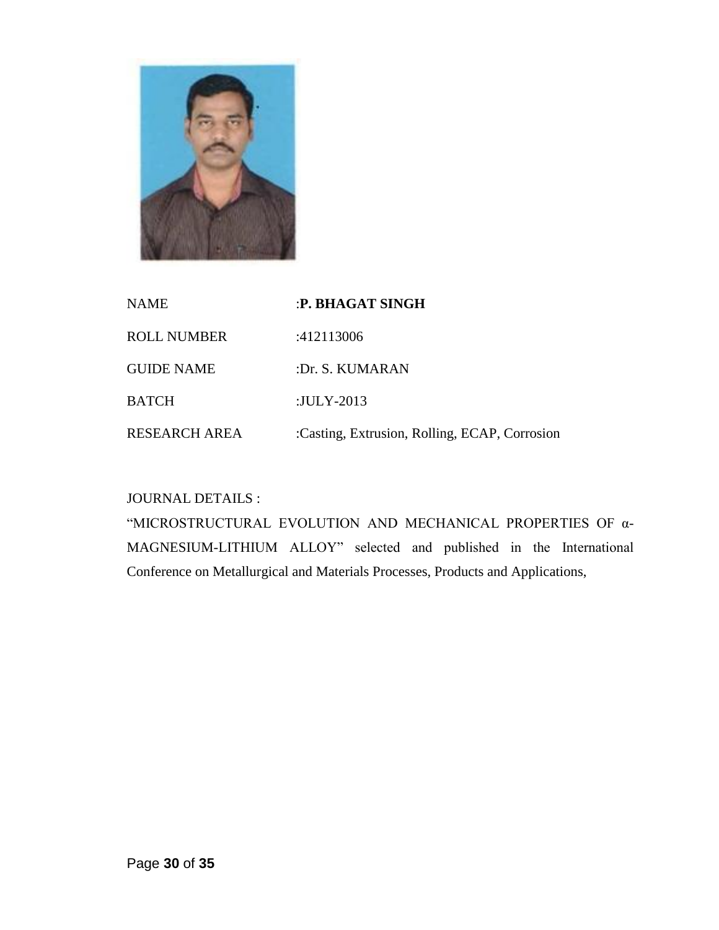

| <b>NAME</b>          | :P. BHAGAT SINGH                              |
|----------------------|-----------------------------------------------|
| <b>ROLL NUMBER</b>   | :412113006                                    |
| <b>GUIDE NAME</b>    | :Dr. S. KUMARAN                               |
| <b>BATCH</b>         | :JULY-2013                                    |
| <b>RESEARCH AREA</b> | :Casting, Extrusion, Rolling, ECAP, Corrosion |

# JOURNAL DETAILS :

"MICROSTRUCTURAL EVOLUTION AND MECHANICAL PROPERTIES OF α-MAGNESIUM-LITHIUM ALLOY" selected and published in the International Conference on Metallurgical and Materials Processes, Products and Applications,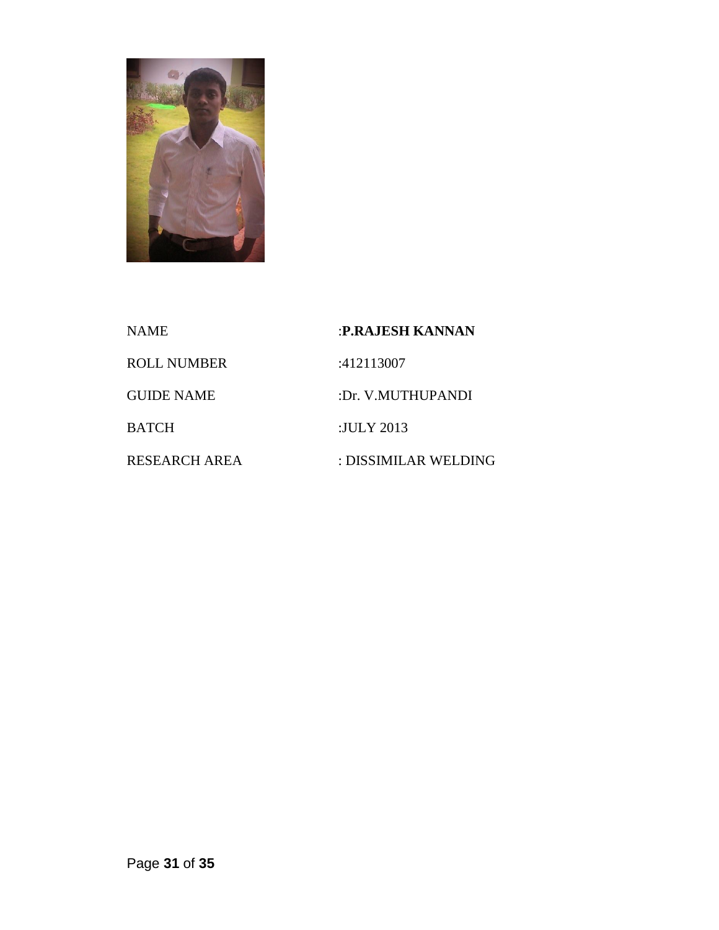

| <b>NAME</b>          | :P.RAJESH KANNAN     |
|----------------------|----------------------|
| <b>ROLL NUMBER</b>   | :412113007           |
| <b>GUIDE NAME</b>    | :Dr. V.MUTHUPANDI    |
| <b>BATCH</b>         | :JULY 2013           |
| <b>RESEARCH AREA</b> | : DISSIMILAR WELDING |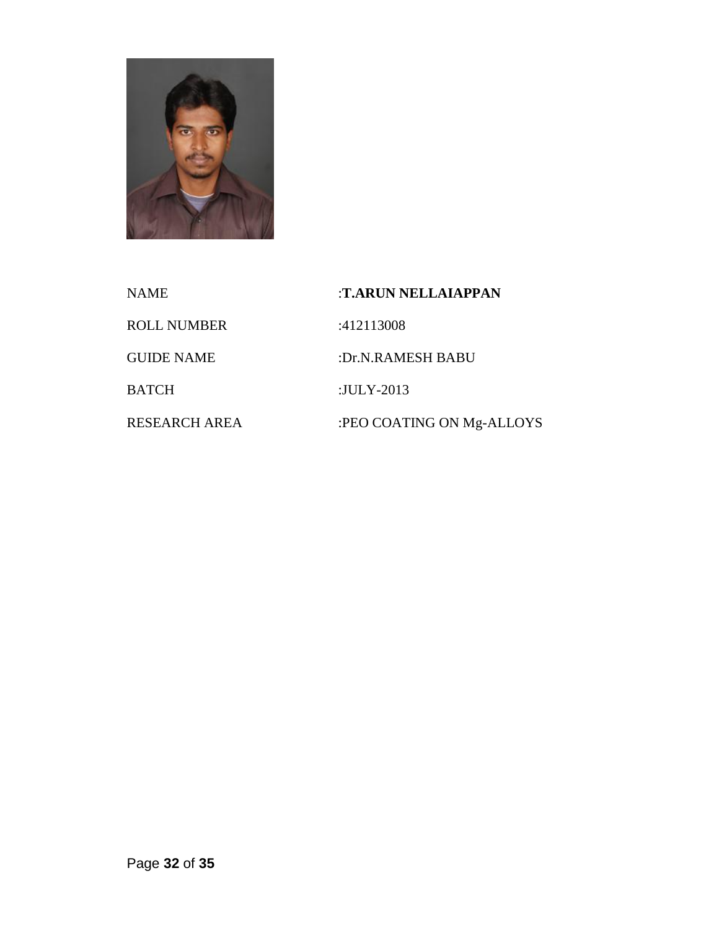

| NAME               | :T.ARUN NELLAIAPPAN       |
|--------------------|---------------------------|
| <b>ROLL NUMBER</b> | :412113008                |
| <b>GUIDE NAME</b>  | :Dr.N.RAMESH BABU         |
| BATCH              | :JULY-2013                |
| RESEARCH AREA      | :PEO COATING ON Mg-ALLOYS |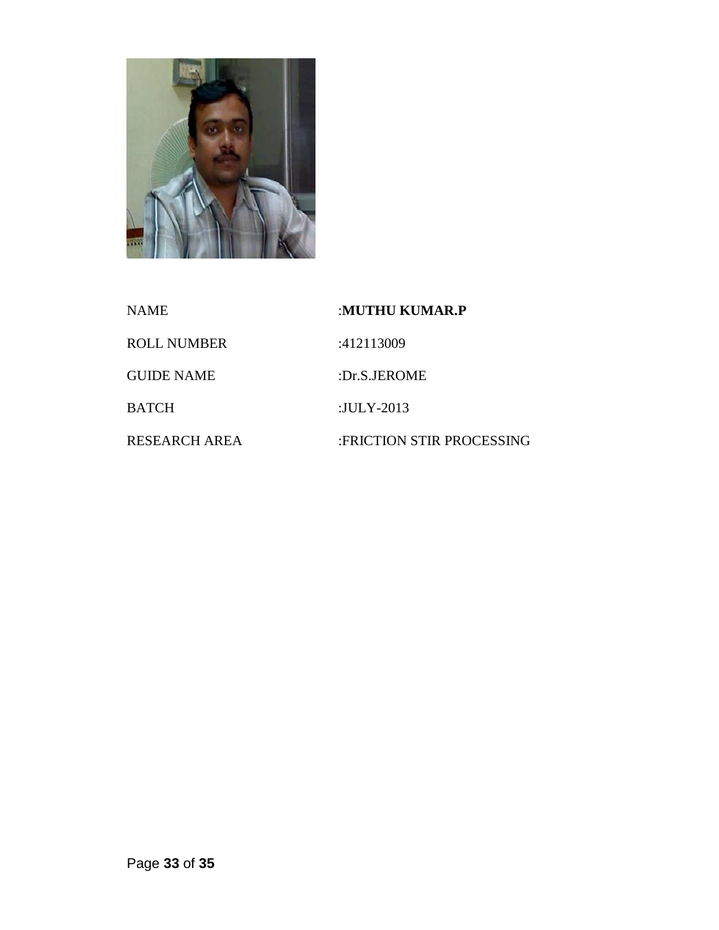

| NAME              | :MUTHU KUMAR.P            |
|-------------------|---------------------------|
| ROLL NUMBER       | :412113009                |
| <b>GUIDE NAME</b> | :Dr.S.JEROME              |
| BATCH             | :JULY-2013                |
| RESEARCH AREA     | :FRICTION STIR PROCESSING |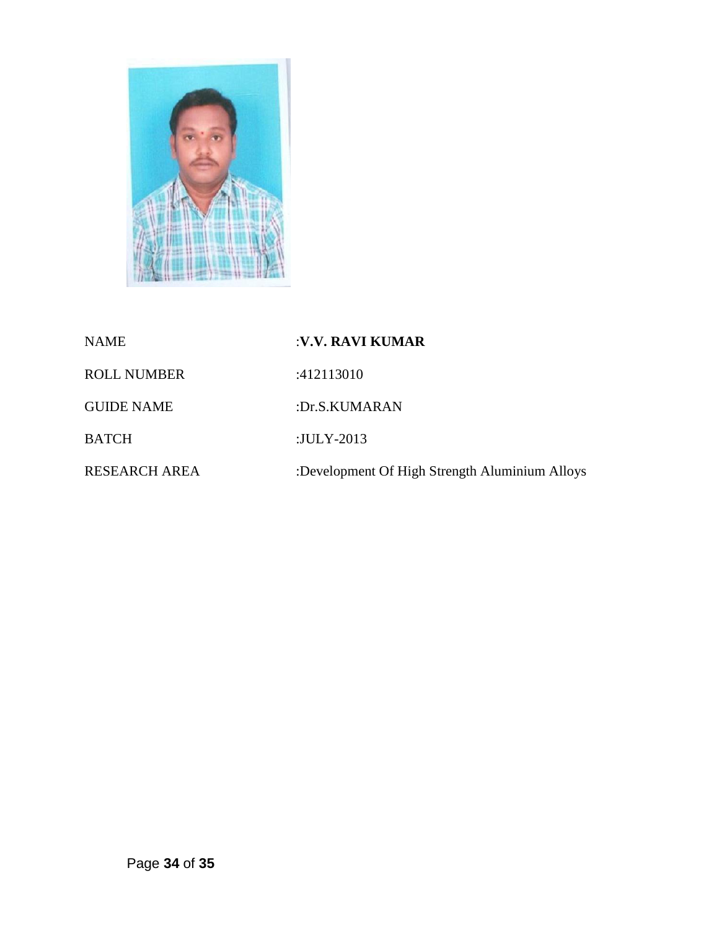

| <b>NAME</b>          | :V.V. RAVI KUMAR                               |
|----------------------|------------------------------------------------|
| <b>ROLL NUMBER</b>   | :412113010                                     |
| <b>GUIDE NAME</b>    | :Dr.S.KUMARAN                                  |
| <b>BATCH</b>         | : $JULY-2013$                                  |
| <b>RESEARCH AREA</b> | :Development Of High Strength Aluminium Alloys |